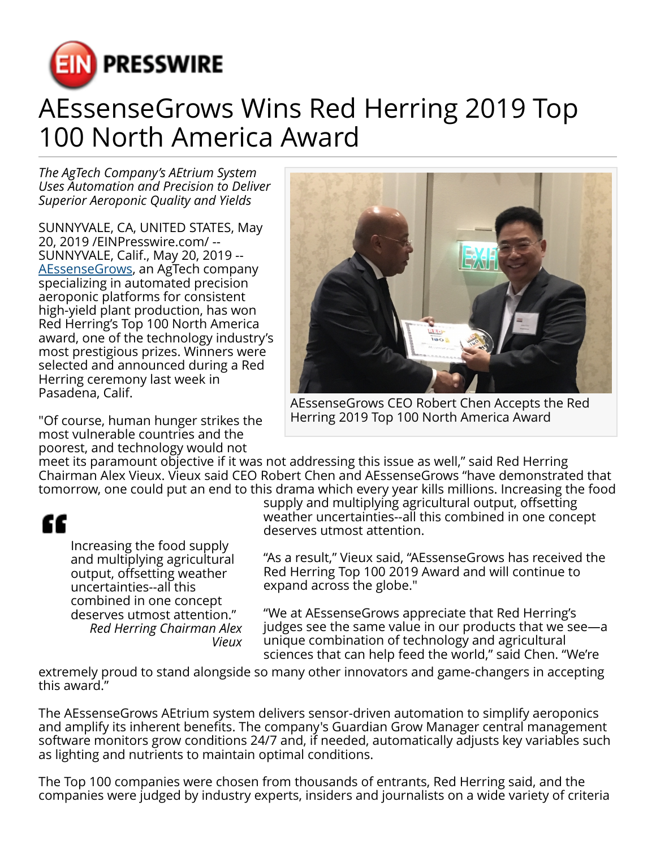

## AEssenseGrows Wins Red Herring 2019 Top 100 North America Award

*The AgTech Company's AEtrium System Uses Automation and Precision to Deliver Superior Aeroponic Quality and Yields*

SUNNYVALE, CA, UNITED STATES, May 20, 2019 /[EINPresswire.com/](http://www.einpresswire.com) -- SUNNYVALE, Calif., May 20, 2019 -- [AEssenseGrows,](https://www.aessensegrows.com) an AgTech company specializing in automated precision aeroponic platforms for consistent high-yield plant production, has won Red Herring's Top 100 North America award, one of the technology industry's most prestigious prizes. Winners were selected and announced during a Red Herring ceremony last week in Pasadena, Calif.



AEssenseGrows CEO Robert Chen Accepts the Red Herring 2019 Top 100 North America Award

"Of course, human hunger strikes the most vulnerable countries and the poorest, and technology would not

meet its paramount objective if it was not addressing this issue as well," said Red Herring Chairman Alex Vieux. Vieux said CEO Robert Chen and AEssenseGrows "have demonstrated that tomorrow, one could put an end to this drama which every year kills millions. Increasing the food

## ££

Increasing the food supply and multiplying agricultural output, offsetting weather uncertainties--all this combined in one concept deserves utmost attention." *Red Herring Chairman Alex Vieux*

supply and multiplying agricultural output, offsetting weather uncertainties--all this combined in one concept deserves utmost attention.

"As a result," Vieux said, "AEssenseGrows has received the Red Herring Top 100 2019 Award and will continue to expand across the globe."

"We at AEssenseGrows appreciate that Red Herring's judges see the same value in our products that we see—a unique combination of technology and agricultural sciences that can help feed the world," said Chen. "We're

extremely proud to stand alongside so many other innovators and game-changers in accepting this award."

The AEssenseGrows AEtrium system delivers sensor-driven automation to simplify aeroponics and amplify its inherent benefits. The company's Guardian Grow Manager central management software monitors grow conditions 24/7 and, if needed, automatically adjusts key variables such as lighting and nutrients to maintain optimal conditions.

The Top 100 companies were chosen from thousands of entrants, Red Herring said, and the companies were judged by industry experts, insiders and journalists on a wide variety of criteria